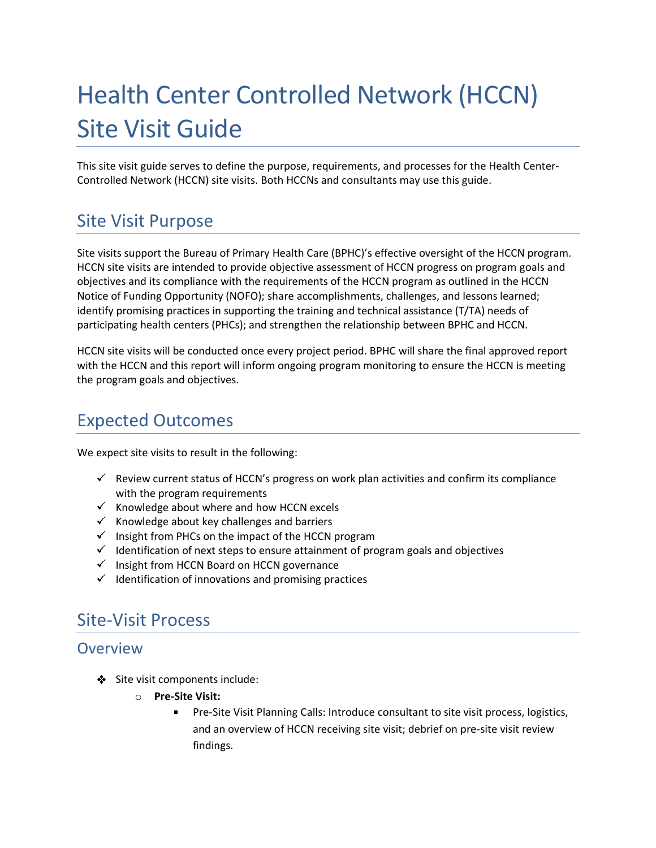# Health Center Controlled Network (HCCN) Site Visit Guide

This site visit guide serves to define the purpose, requirements, and processes for the Health Center-Controlled Network (HCCN) site visits. Both HCCNs and consultants may use this guide.

# Site Visit Purpose

Site visits support the Bureau of Primary Health Care (BPHC)'s effective oversight of the HCCN program. HCCN site visits are intended to provide objective assessment of HCCN progress on program goals and objectives and its compliance with the requirements of the HCCN program as outlined in the HCCN Notice of Funding Opportunity (NOFO); share accomplishments, challenges, and lessons learned; identify promising practices in supporting the training and technical assistance (T/TA) needs of participating health centers (PHCs); and strengthen the relationship between BPHC and HCCN.

HCCN site visits will be conducted once every project period. BPHC will share the final approved report with the HCCN and this report will inform ongoing program monitoring to ensure the HCCN is meeting the program goals and objectives.

# Expected Outcomes

We expect site visits to result in the following:

- $\checkmark$  Review current status of HCCN's progress on work plan activities and confirm its compliance with the program requirements
- $\checkmark$  Knowledge about where and how HCCN excels
- $\checkmark$  Knowledge about key challenges and barriers
- $\checkmark$  Insight from PHCs on the impact of the HCCN program
- $\checkmark$  Identification of next steps to ensure attainment of program goals and objectives
- $\checkmark$  Insight from HCCN Board on HCCN governance
- $\checkmark$  Identification of innovations and promising practices

## Site-Visit Process

### **Overview**

- Site visit components include:
	- **Pre-Site Visit:**
		- Pre-Site Visit Planning Calls: Introduce consultant to site visit process, logistics, and an overview of HCCN receiving site visit; debrief on pre-site visit review findings.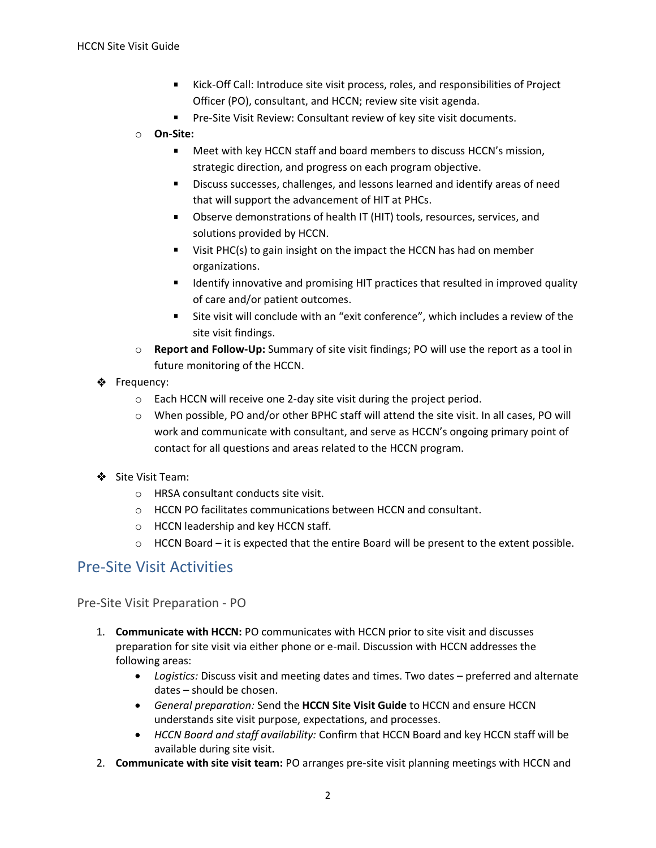- Kick-Off Call: Introduce site visit process, roles, and responsibilities of Project Officer (PO), consultant, and HCCN; review site visit agenda.
- **Pre-Site Visit Review: Consultant review of key site visit documents.**
- **On-Site:**
	- Meet with key HCCN staff and board members to discuss HCCN's mission, strategic direction, and progress on each program objective.
	- Discuss successes, challenges, and lessons learned and identify areas of need that will support the advancement of HIT at PHCs.
	- **DIMENTIFY Observe demonstrations of health IT (HIT) tools, resources, services, and** solutions provided by HCCN.
	- Uisit PHC(s) to gain insight on the impact the HCCN has had on member organizations.
	- **If I**dentify innovative and promising HIT practices that resulted in improved quality of care and/or patient outcomes.
	- Site visit will conclude with an "exit conference", which includes a review of the site visit findings.
- **Report and Follow-Up:** Summary of site visit findings; PO will use the report as a tool in future monitoring of the HCCN.
- Frequency:
	- $\circ$  Each HCCN will receive one 2-day site visit during the project period.
	- When possible, PO and/or other BPHC staff will attend the site visit. In all cases, PO will work and communicate with consultant, and serve as HCCN's ongoing primary point of contact for all questions and areas related to the HCCN program.
- Site Visit Team:
	- HRSA consultant conducts site visit.
	- HCCN PO facilitates communications between HCCN and consultant.
	- HCCN leadership and key HCCN staff.
	- HCCN Board it is expected that the entire Board will be present to the extent possible.

### Pre-Site Visit Activities

Pre-Site Visit Preparation - PO

- 1. **Communicate with HCCN:** PO communicates with HCCN prior to site visit and discusses preparation for site visit via either phone or e-mail. Discussion with HCCN addresses the following areas:
	- *Logistics:* Discuss visit and meeting dates and times. Two dates preferred and alternate dates – should be chosen.
	- *General preparation:* Send the **HCCN Site Visit Guide** to HCCN and ensure HCCN understands site visit purpose, expectations, and processes.
	- *HCCN Board and staff availability:* Confirm that HCCN Board and key HCCN staff will be available during site visit.
- 2. **Communicate with site visit team:** PO arranges pre-site visit planning meetings with HCCN and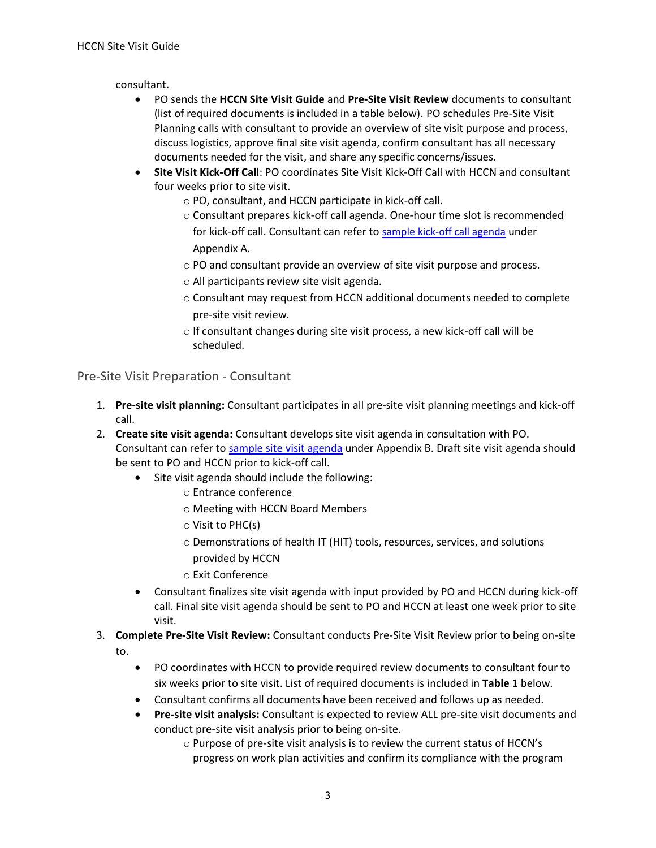consultant.

- PO sends the **HCCN Site Visit Guide** and **Pre-Site Visit Review** documents to consultant (list of required documents is included in a table below). PO schedules Pre-Site Visit Planning calls with consultant to provide an overview of site visit purpose and process, discuss logistics, approve final site visit agenda, confirm consultant has all necessary documents needed for the visit, and share any specific concerns/issues.
- **Site Visit Kick-Off Call**: PO coordinates Site Visit Kick-Off Call with HCCN and consultant four weeks prior to site visit.
	- PO, consultant, and HCCN participate in kick-off call.
	- Consultant prepares kick-off call agenda. One-hour time slot is recommended for kick-off call. Consultant can refer to [sample kick-off call agenda](#page-8-0) under Appendix A.
	- PO and consultant provide an overview of site visit purpose and process.
	- All participants review site visit agenda.
	- Consultant may request from HCCN additional documents needed to complete pre-site visit review.
	- If consultant changes during site visit process, a new kick-off call will be scheduled.

Pre-Site Visit Preparation - Consultant

- 1. **Pre-site visit planning:** Consultant participates in all pre-site visit planning meetings and kick-off call.
- 2. **Create site visit agenda:** Consultant develops site visit agenda in consultation with PO. Consultant can refer t[o sample site visit agenda](#page-9-0) under Appendix B. Draft site visit agenda should be sent to PO and HCCN prior to kick-off call.
	- Site visit agenda should include the following:
		- Entrance conference
		- Meeting with HCCN Board Members
		- Visit to PHC(s)
		- Demonstrations of health IT (HIT) tools, resources, services, and solutions provided by HCCN
		- Exit Conference
	- Consultant finalizes site visit agenda with input provided by PO and HCCN during kick-off call. Final site visit agenda should be sent to PO and HCCN at least one week prior to site visit.
- 3. **Complete Pre-Site Visit Review:** Consultant conducts Pre-Site Visit Review prior to being on-site to.
	- PO coordinates with HCCN to provide required review documents to consultant four to six weeks prior to site visit. List of required documents is included in **Table 1** below.
	- Consultant confirms all documents have been received and follows up as needed.
	- **Pre-site visit analysis:** Consultant is expected to review ALL pre-site visit documents and conduct pre-site visit analysis prior to being on-site.
		- Purpose of pre-site visit analysis is to review the current status of HCCN's progress on work plan activities and confirm its compliance with the program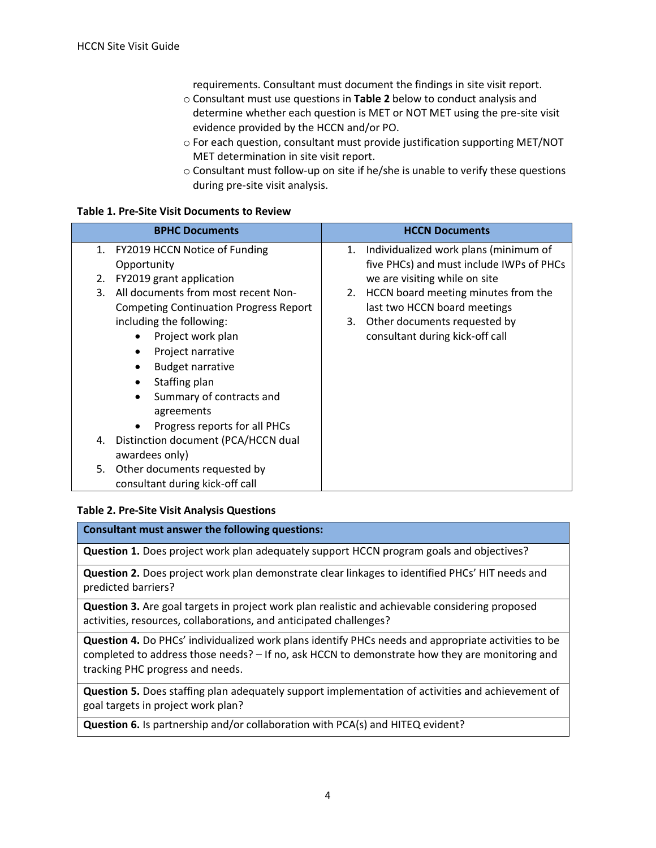requirements. Consultant must document the findings in site visit report.

- Consultant must use questions in **Table 2** below to conduct analysis and determine whether each question is MET or NOT MET using the pre-site visit evidence provided by the HCCN and/or PO.
- For each question, consultant must provide justification supporting MET/NOT MET determination in site visit report.
- Consultant must follow-up on site if he/she is unable to verify these questions during pre-site visit analysis.

#### **Table 1. Pre-Site Visit Documents to Review**

| <b>BPHC Documents</b>                         | <b>HCCN Documents</b>                     |
|-----------------------------------------------|-------------------------------------------|
| FY2019 HCCN Notice of Funding<br>1.           | 1. Individualized work plans (minimum of  |
| Opportunity                                   | five PHCs) and must include IWPs of PHCs  |
| FY2019 grant application<br>2.                | we are visiting while on site             |
| All documents from most recent Non-<br>3.     | HCCN board meeting minutes from the<br>2. |
| <b>Competing Continuation Progress Report</b> | last two HCCN board meetings              |
| including the following:                      | Other documents requested by<br>3.        |
| Project work plan                             | consultant during kick-off call           |
| Project narrative                             |                                           |
| <b>Budget narrative</b>                       |                                           |
| Staffing plan                                 |                                           |
| Summary of contracts and<br>agreements        |                                           |
| Progress reports for all PHCs                 |                                           |
| Distinction document (PCA/HCCN dual<br>4.     |                                           |
| awardees only)                                |                                           |
| Other documents requested by<br>5.            |                                           |
| consultant during kick-off call               |                                           |

#### **Table 2. Pre-Site Visit Analysis Questions**

| Consultant must answer the following questions:                                                                                                                                                                                                  |
|--------------------------------------------------------------------------------------------------------------------------------------------------------------------------------------------------------------------------------------------------|
| <b>Question 1.</b> Does project work plan adequately support HCCN program goals and objectives?                                                                                                                                                  |
| Question 2. Does project work plan demonstrate clear linkages to identified PHCs' HIT needs and<br>predicted barriers?                                                                                                                           |
| <b>Question 3.</b> Are goal targets in project work plan realistic and achievable considering proposed<br>activities, resources, collaborations, and anticipated challenges?                                                                     |
| <b>Question 4.</b> Do PHCs' individualized work plans identify PHCs needs and appropriate activities to be<br>completed to address those needs? - If no, ask HCCN to demonstrate how they are monitoring and<br>tracking PHC progress and needs. |

**Question 5.** Does staffing plan adequately support implementation of activities and achievement of goal targets in project work plan?

**Question 6.** Is partnership and/or collaboration with PCA(s) and HITEQ evident?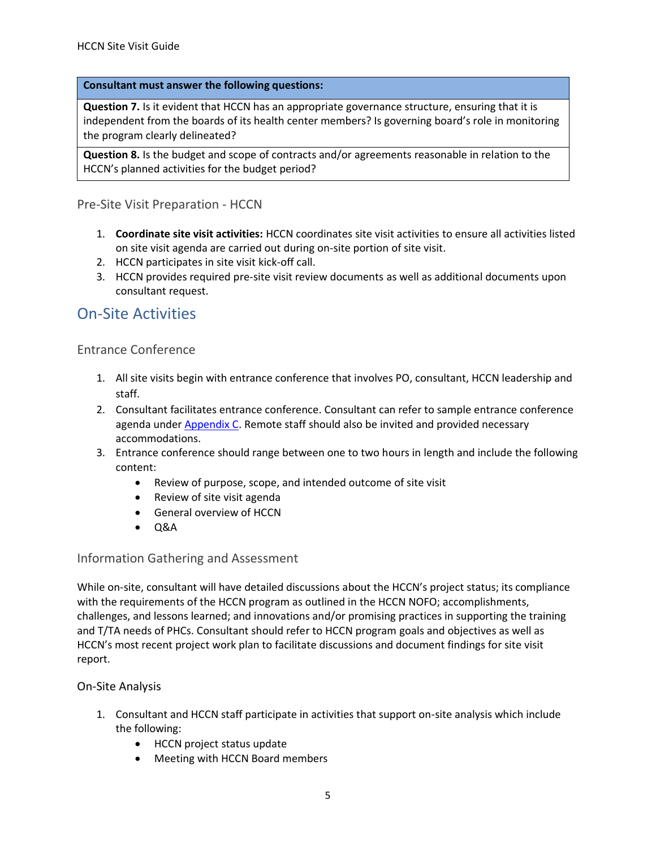#### **Consultant must answer the following questions:**

**Question 7.** Is it evident that HCCN has an appropriate governance structure, ensuring that it is independent from the boards of its health center members? Is governing board's role in monitoring the program clearly delineated?

**Question 8.** Is the budget and scope of contracts and/or agreements reasonable in relation to the HCCN's planned activities for the budget period?

#### Pre-Site Visit Preparation - HCCN

- 1. **Coordinate site visit activities:** HCCN coordinates site visit activities to ensure all activities listed on site visit agenda are carried out during on-site portion of site visit.
- 2. HCCN participates in site visit kick-off call.
- 3. HCCN provides required pre-site visit review documents as well as additional documents upon consultant request.

### On-Site Activities

#### Entrance Conference

- 1. All site visits begin with entrance conference that involves PO, consultant, HCCN leadership and staff.
- 2. Consultant facilitates entrance conference. Consultant can refer to sample entrance conference agenda under [Appendix C.](#page-11-0) Remote staff should also be invited and provided necessary accommodations.
- 3. Entrance conference should range between one to two hours in length and include the following content:
	- Review of purpose, scope, and intended outcome of site visit
	- Review of site visit agenda
	- General overview of HCCN
	- Q&A

#### Information Gathering and Assessment

While on-site, consultant will have detailed discussions about the HCCN's project status; its compliance with the requirements of the HCCN program as outlined in the HCCN NOFO; accomplishments, challenges, and lessons learned; and innovations and/or promising practices in supporting the training and T/TA needs of PHCs. Consultant should refer to HCCN program goals and objectives as well as HCCN's most recent project work plan to facilitate discussions and document findings for site visit report.

#### On-Site Analysis

- 1. Consultant and HCCN staff participate in activities that support on-site analysis which include the following:
	- HCCN project status update
	- Meeting with HCCN Board members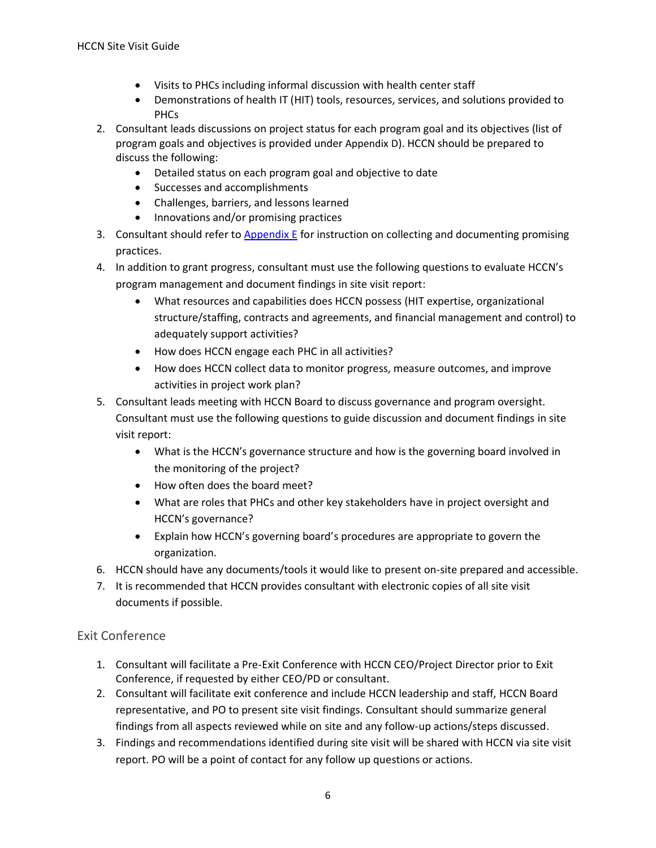- Visits to PHCs including informal discussion with health center staff
- Demonstrations of health IT (HIT) tools, resources, services, and solutions provided to PHCs
- 2. Consultant leads discussions on project status for each program goal and its objectives (list of program goals and objectives is provided under Appendix D). HCCN should be prepared to discuss the following:
	- Detailed status on each program goal and objective to date
	- Successes and accomplishments
	- Challenges, barriers, and lessons learned
	- Innovations and/or promising practices
- 3. Consultant should refer to [Appendix E](#page-14-0) for instruction on collecting and documenting promising practices.
- 4. In addition to grant progress, consultant must use the following questions to evaluate HCCN's program management and document findings in site visit report:
	- What resources and capabilities does HCCN possess (HIT expertise, organizational structure/staffing, contracts and agreements, and financial management and control) to adequately support activities?
	- How does HCCN engage each PHC in all activities?
	- How does HCCN collect data to monitor progress, measure outcomes, and improve activities in project work plan?
- 5. Consultant leads meeting with HCCN Board to discuss governance and program oversight. Consultant must use the following questions to guide discussion and document findings in site visit report:
	- What is the HCCN's governance structure and how is the governing board involved in the monitoring of the project?
	- How often does the board meet?
	- What are roles that PHCs and other key stakeholders have in project oversight and HCCN's governance?
	- Explain how HCCN's governing board's procedures are appropriate to govern the organization.
- 6. HCCN should have any documents/tools it would like to present on-site prepared and accessible.
- 7. It is recommended that HCCN provides consultant with electronic copies of all site visit documents if possible.

#### Exit Conference

- 1. Consultant will facilitate a Pre-Exit Conference with HCCN CEO/Project Director prior to Exit Conference, if requested by either CEO/PD or consultant.
- 2. Consultant will facilitate exit conference and include HCCN leadership and staff, HCCN Board representative, and PO to present site visit findings. Consultant should summarize general findings from all aspects reviewed while on site and any follow-up actions/steps discussed.
- 3. Findings and recommendations identified during site visit will be shared with HCCN via site visit report. PO will be a point of contact for any follow up questions or actions.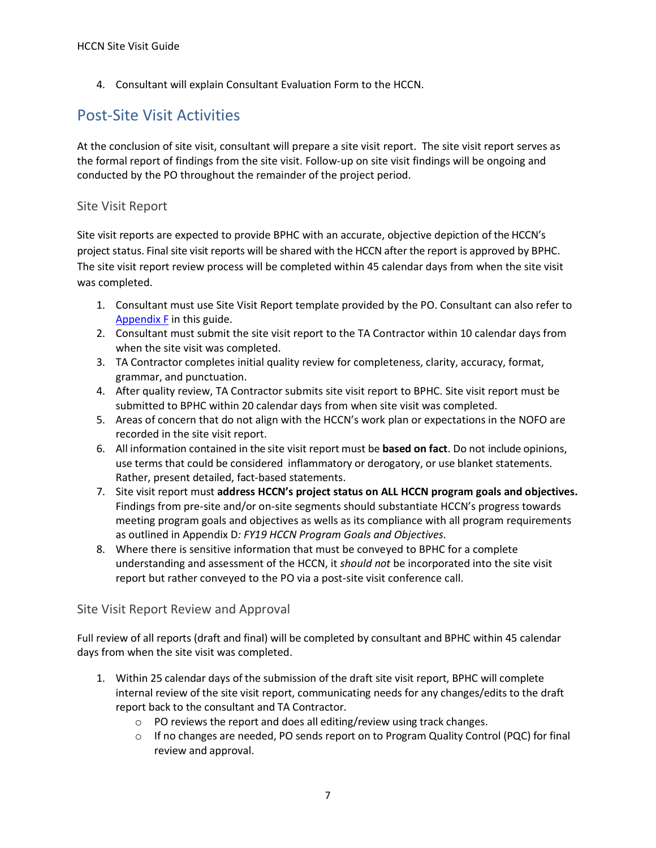4. Consultant will explain Consultant Evaluation Form to the HCCN.

### Post-Site Visit Activities

At the conclusion of site visit, consultant will prepare a site visit report. The site visit report serves as the formal report of findings from the site visit. Follow-up on site visit findings will be ongoing and conducted by the PO throughout the remainder of the project period.

#### Site Visit Report

Site visit reports are expected to provide BPHC with an accurate, objective depiction of the HCCN's project status. Final site visit reports will be shared with the HCCN after the report is approved by BPHC. The site visit report review process will be completed within 45 calendar days from when the site visit was completed.

- 1. Consultant must use Site Visit Report template provided by the PO. Consultant can also refer to [Appendix F](#page-15-0) in this guide.
- 2. Consultant must submit the site visit report to the TA Contractor within 10 calendar days from when the site visit was completed.
- 3. TA Contractor completes initial quality review for completeness, clarity, accuracy, format, grammar, and punctuation.
- 4. After quality review, TA Contractor submits site visit report to BPHC. Site visit report must be submitted to BPHC within 20 calendar days from when site visit was completed.
- 5. Areas of concern that do not align with the HCCN's work plan or expectations in the NOFO are recorded in the site visit report.
- 6. All information contained in the site visit report must be **based on fact**. Do not include opinions, use terms that could be considered inflammatory or derogatory, or use blanket statements. Rather, present detailed, fact-based statements.
- 7. Site visit report must **address HCCN's project status on ALL HCCN program goals and objectives.** Findings from pre-site and/or on-site segments should substantiate HCCN's progress towards meeting program goals and objectives as wells as its compliance with all program requirements as outlined in Appendix D*: FY19 HCCN Program Goals and Objectives.*
- 8. Where there is sensitive information that must be conveyed to BPHC for a complete understanding and assessment of the HCCN, it *should not* be incorporated into the site visit report but rather conveyed to the PO via a post-site visit conference call.

#### Site Visit Report Review and Approval

Full review of all reports (draft and final) will be completed by consultant and BPHC within 45 calendar days from when the site visit was completed.

- 1. Within 25 calendar days of the submission of the draft site visit report, BPHC will complete internal review of the site visit report, communicating needs for any changes/edits to the draft report back to the consultant and TA Contractor.
	- PO reviews the report and does all editing/review using track changes.
	- If no changes are needed, PO sends report on to Program Quality Control (PQC) for final review and approval.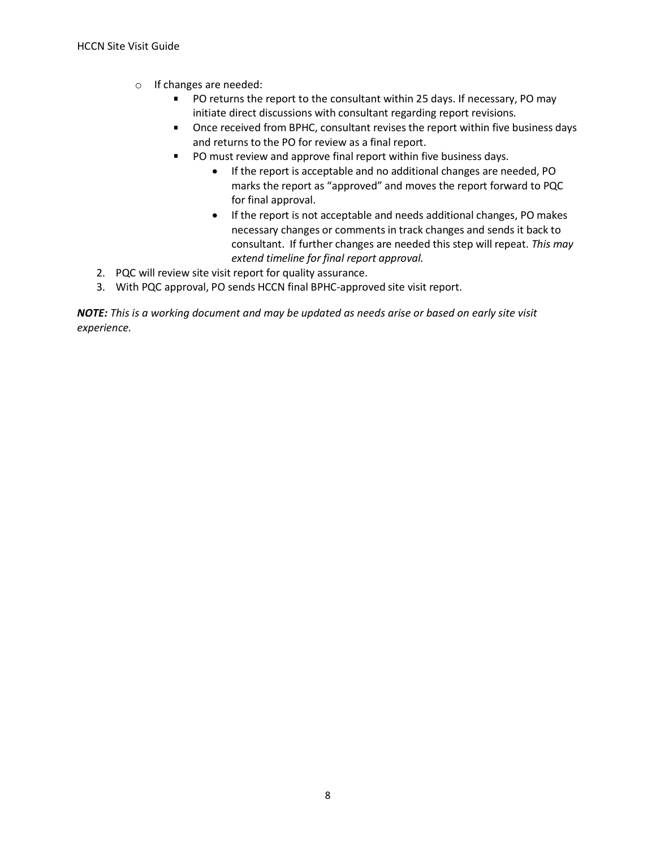- If changes are needed:
	- $\blacksquare$ PO returns the report to the consultant within 25 days. If necessary, PO may initiate direct discussions with consultant regarding report revisions.
	- **DICE 7** Once received from BPHC, consultant revises the report within five business days and returns to the PO for review as a final report.
	- PO must review and approve final report within five business days.
		- If the report is acceptable and no additional changes are needed, PO marks the report as "approved" and moves the report forward to PQC for final approval.
		- If the report is not acceptable and needs additional changes, PO makes necessary changes or comments in track changes and sends it back to consultant. If further changes are needed this step will repeat. *This may extend timeline for final report approval.*
- 2. PQC will review site visit report for quality assurance.
- 3. With PQC approval, PO sends HCCN final BPHC-approved site visit report.

*NOTE: This is a working document and may be updated as needs arise or based on early site visit experience.*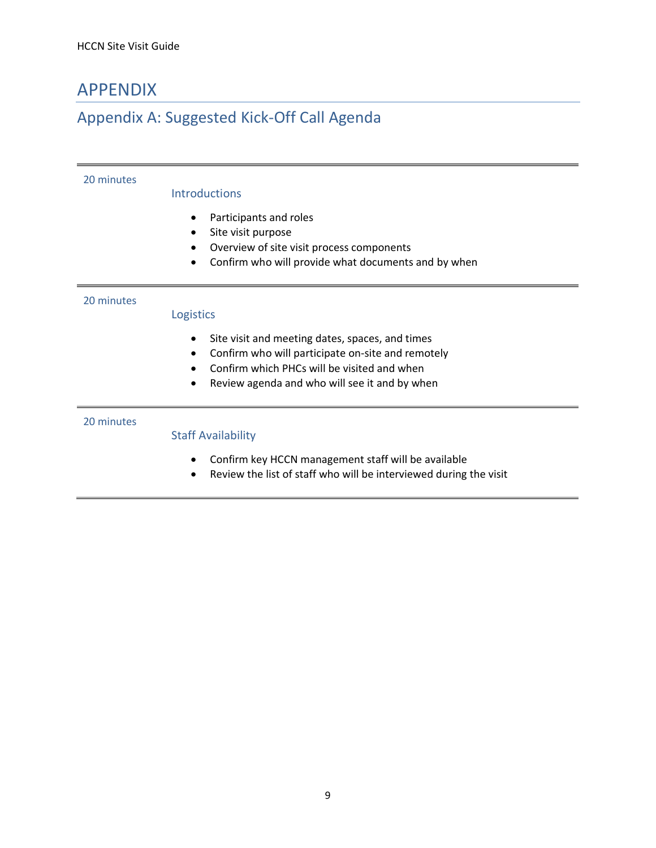### APPENDIX

### <span id="page-8-0"></span>Appendix A: Suggested Kick-Off Call Agenda

#### 20 minutes

#### Introductions

- Participants and roles
- Site visit purpose
- Overview of site visit process components
- Confirm who will provide what documents and by when

#### 20 minutes

#### Logistics

- Site visit and meeting dates, spaces, and times
- Confirm who will participate on-site and remotely
- Confirm which PHCs will be visited and when
- Review agenda and who will see it and by when

#### 20 minutes

#### Staff Availability

- Confirm key HCCN management staff will be available
- Review the list of staff who will be interviewed during the visit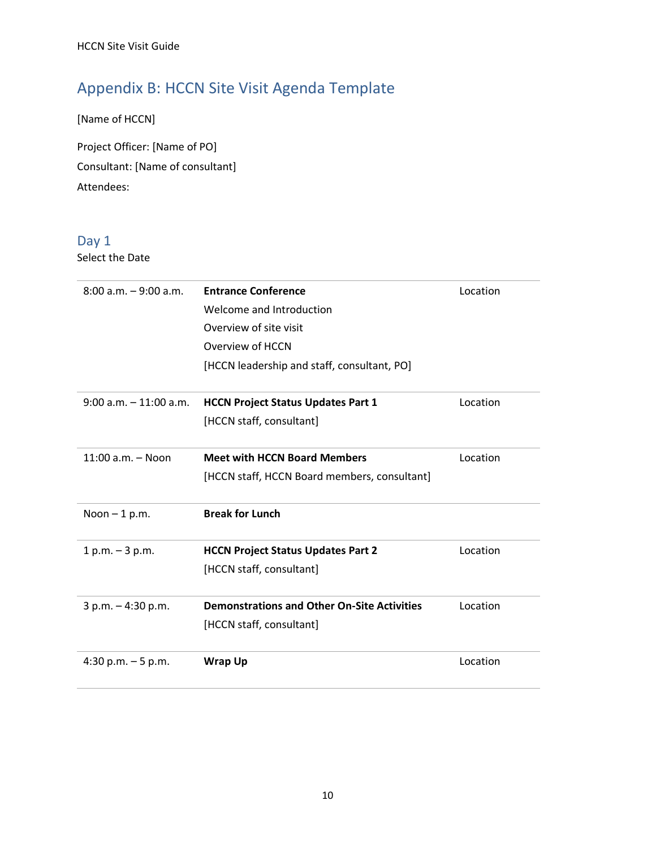# <span id="page-9-0"></span>Appendix B: HCCN Site Visit Agenda Template

[Name of HCCN]

Project Officer: [Name of PO] Consultant: [Name of consultant] Attendees:

### Day 1

Select the Date

| $8:00$ a.m. $-9:00$ a.m.  | <b>Entrance Conference</b><br>Welcome and Introduction<br>Overview of site visit<br>Overview of HCCN<br>[HCCN leadership and staff, consultant, PO] | Location |
|---------------------------|-----------------------------------------------------------------------------------------------------------------------------------------------------|----------|
| $9:00$ a.m. $-11:00$ a.m. | <b>HCCN Project Status Updates Part 1</b><br>[HCCN staff, consultant]                                                                               | Location |
| $11:00$ a.m. $-$ Noon     | <b>Meet with HCCN Board Members</b><br>[HCCN staff, HCCN Board members, consultant]                                                                 | Location |
| Noon $-1$ p.m.            | <b>Break for Lunch</b>                                                                                                                              |          |
| $1 p.m. - 3 p.m.$         | <b>HCCN Project Status Updates Part 2</b><br>[HCCN staff, consultant]                                                                               | Location |
| $3 p.m. - 4:30 p.m.$      | <b>Demonstrations and Other On-Site Activities</b><br>[HCCN staff, consultant]                                                                      | Location |
| 4:30 p.m. $-5$ p.m.       | <b>Wrap Up</b>                                                                                                                                      | Location |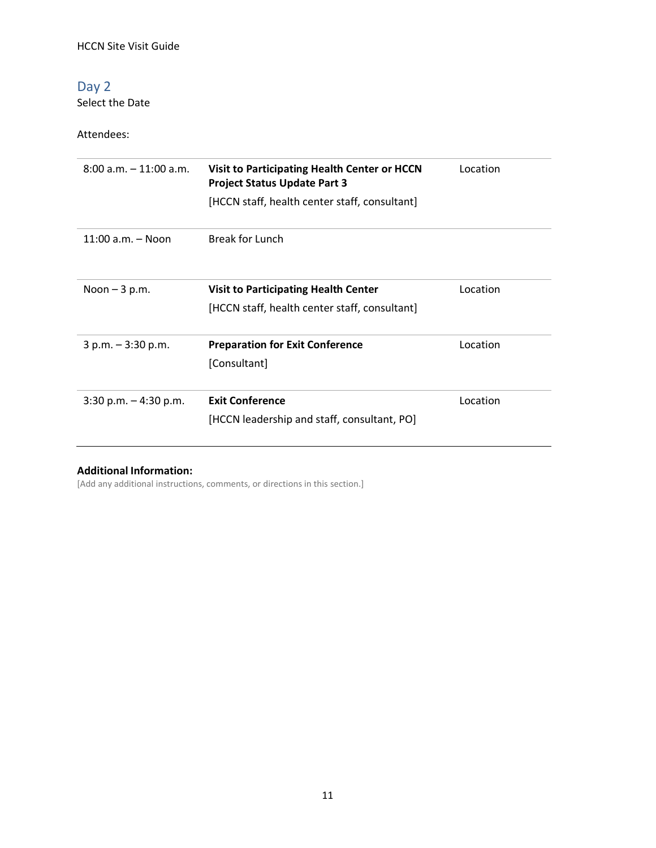### Day 2

Select the Date

Attendees:

| $8:00$ a.m. $-11:00$ a.m. | Visit to Participating Health Center or HCCN<br><b>Project Status Update Part 3</b> | Location |
|---------------------------|-------------------------------------------------------------------------------------|----------|
|                           | [HCCN staff, health center staff, consultant]                                       |          |
| 11:00 a.m. - Noon         | <b>Break for Lunch</b>                                                              |          |
| Noon $-3$ p.m.            | <b>Visit to Participating Health Center</b>                                         | Location |
|                           | [HCCN staff, health center staff, consultant]                                       |          |
| $3 p.m. - 3:30 p.m.$      | <b>Preparation for Exit Conference</b>                                              | Location |
|                           | [Consultant]                                                                        |          |
| $3:30$ p.m. $-4:30$ p.m.  | <b>Exit Conference</b>                                                              | Location |
|                           | [HCCN leadership and staff, consultant, PO]                                         |          |

#### **Additional Information:**

[Add any additional instructions, comments, or directions in this section.]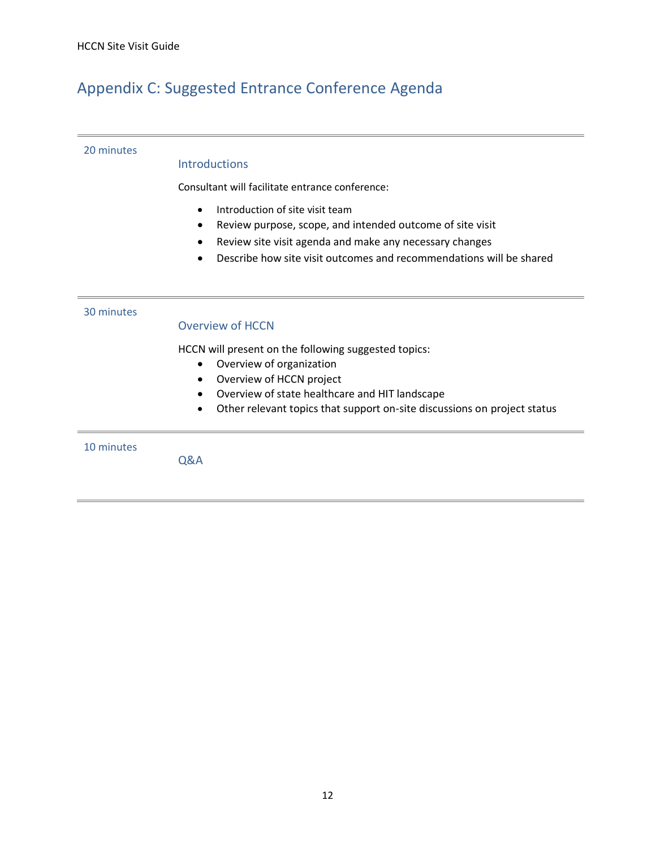### <span id="page-11-0"></span>Appendix C: Suggested Entrance Conference Agenda

#### 20 minutes

#### **Introductions**

Consultant will facilitate entrance conference:

- Introduction of site visit team
- Review purpose, scope, and intended outcome of site visit
- Review site visit agenda and make any necessary changes
- Describe how site visit outcomes and recommendations will be shared

#### 30 minutes

#### Overview of HCCN

HCCN will present on the following suggested topics:

- Overview of organization
- Overview of HCCN project
- Overview of state healthcare and HIT landscape
- Other relevant topics that support on-site discussions on project status

10 minutes

Q&A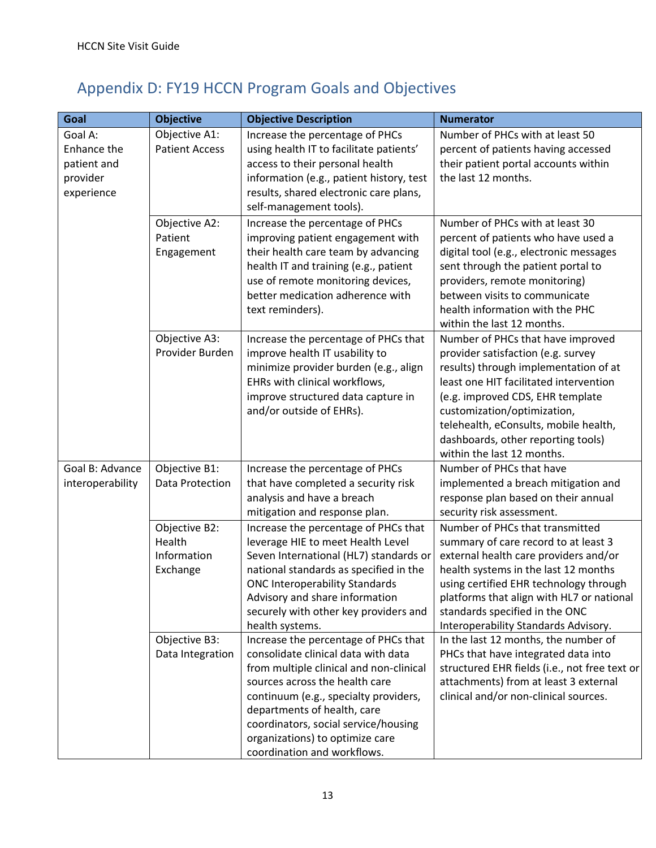# Appendix D: FY19 HCCN Program Goals and Objectives

| Goal             | <b>Objective</b>      | <b>Objective Description</b>                                         | <b>Numerator</b>                                                |
|------------------|-----------------------|----------------------------------------------------------------------|-----------------------------------------------------------------|
| Goal A:          | Objective A1:         | Increase the percentage of PHCs                                      | Number of PHCs with at least 50                                 |
| Enhance the      | <b>Patient Access</b> | using health IT to facilitate patients'                              | percent of patients having accessed                             |
| patient and      |                       | access to their personal health                                      | their patient portal accounts within                            |
| provider         |                       | information (e.g., patient history, test                             | the last 12 months.                                             |
| experience       |                       | results, shared electronic care plans,                               |                                                                 |
|                  |                       | self-management tools).                                              |                                                                 |
|                  | Objective A2:         | Increase the percentage of PHCs                                      | Number of PHCs with at least 30                                 |
|                  | Patient               | improving patient engagement with                                    | percent of patients who have used a                             |
|                  | Engagement            | their health care team by advancing                                  | digital tool (e.g., electronic messages                         |
|                  |                       | health IT and training (e.g., patient                                | sent through the patient portal to                              |
|                  |                       | use of remote monitoring devices,                                    | providers, remote monitoring)                                   |
|                  |                       | better medication adherence with                                     | between visits to communicate                                   |
|                  |                       | text reminders).                                                     | health information with the PHC                                 |
|                  |                       |                                                                      | within the last 12 months.                                      |
|                  | Objective A3:         | Increase the percentage of PHCs that                                 | Number of PHCs that have improved                               |
|                  | Provider Burden       | improve health IT usability to                                       | provider satisfaction (e.g. survey                              |
|                  |                       | minimize provider burden (e.g., align                                | results) through implementation of at                           |
|                  |                       | EHRs with clinical workflows,                                        | least one HIT facilitated intervention                          |
|                  |                       | improve structured data capture in<br>and/or outside of EHRs).       | (e.g. improved CDS, EHR template<br>customization/optimization, |
|                  |                       |                                                                      | telehealth, eConsults, mobile health,                           |
|                  |                       |                                                                      | dashboards, other reporting tools)                              |
|                  |                       |                                                                      | within the last 12 months.                                      |
| Goal B: Advance  | Objective B1:         | Increase the percentage of PHCs                                      | Number of PHCs that have                                        |
| interoperability | Data Protection       | that have completed a security risk                                  | implemented a breach mitigation and                             |
|                  |                       | analysis and have a breach                                           | response plan based on their annual                             |
|                  |                       | mitigation and response plan.                                        | security risk assessment.                                       |
|                  | Objective B2:         | Increase the percentage of PHCs that                                 | Number of PHCs that transmitted                                 |
|                  | Health                | leverage HIE to meet Health Level                                    | summary of care record to at least 3                            |
|                  | Information           | Seven International (HL7) standards or                               | external health care providers and/or                           |
|                  | Exchange              | national standards as specified in the                               | health systems in the last 12 months                            |
|                  |                       | <b>ONC Interoperability Standards</b>                                | using certified EHR technology through                          |
|                  |                       | Advisory and share information                                       | platforms that align with HL7 or national                       |
|                  |                       | securely with other key providers and                                | standards specified in the ONC                                  |
|                  |                       | health systems.                                                      | Interoperability Standards Advisory.                            |
|                  | Objective B3:         | Increase the percentage of PHCs that                                 | In the last 12 months, the number of                            |
|                  | Data Integration      | consolidate clinical data with data                                  | PHCs that have integrated data into                             |
|                  |                       | from multiple clinical and non-clinical                              | structured EHR fields (i.e., not free text or                   |
|                  |                       | sources across the health care                                       | attachments) from at least 3 external                           |
|                  |                       | continuum (e.g., specialty providers,<br>departments of health, care | clinical and/or non-clinical sources.                           |
|                  |                       | coordinators, social service/housing                                 |                                                                 |
|                  |                       | organizations) to optimize care                                      |                                                                 |
|                  |                       | coordination and workflows.                                          |                                                                 |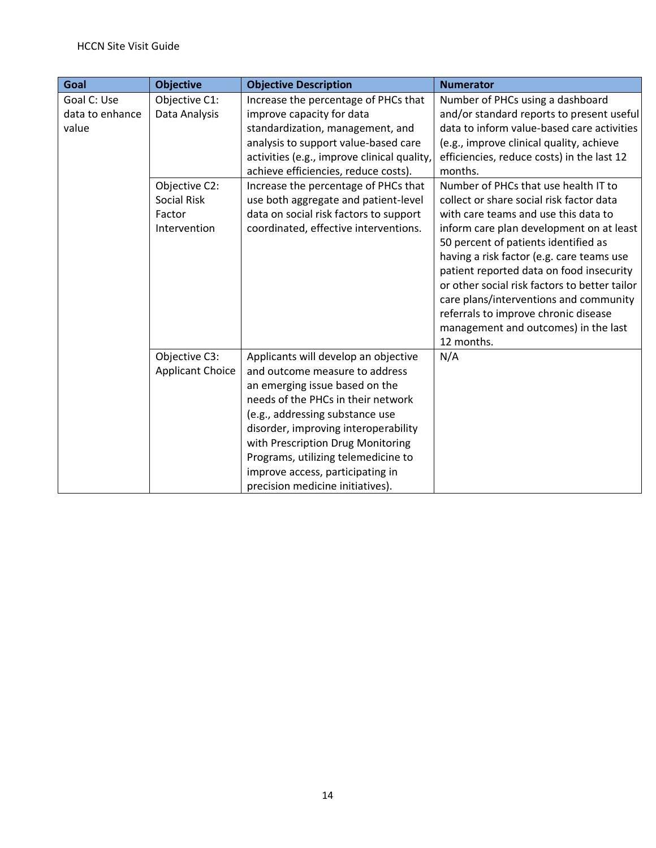| Goal            | <b>Objective</b>        | <b>Objective Description</b>                | <b>Numerator</b>                                                                          |
|-----------------|-------------------------|---------------------------------------------|-------------------------------------------------------------------------------------------|
| Goal C: Use     | Objective C1:           | Increase the percentage of PHCs that        | Number of PHCs using a dashboard                                                          |
| data to enhance | Data Analysis           | improve capacity for data                   | and/or standard reports to present useful                                                 |
| value           |                         | standardization, management, and            | data to inform value-based care activities                                                |
|                 |                         | analysis to support value-based care        | (e.g., improve clinical quality, achieve                                                  |
|                 |                         | activities (e.g., improve clinical quality, | efficiencies, reduce costs) in the last 12                                                |
|                 |                         | achieve efficiencies, reduce costs).        | months.                                                                                   |
|                 | Objective C2:           | Increase the percentage of PHCs that        | Number of PHCs that use health IT to                                                      |
|                 | <b>Social Risk</b>      | use both aggregate and patient-level        | collect or share social risk factor data                                                  |
|                 | Factor                  | data on social risk factors to support      | with care teams and use this data to                                                      |
|                 | Intervention            | coordinated, effective interventions.       | inform care plan development on at least                                                  |
|                 |                         |                                             | 50 percent of patients identified as                                                      |
|                 |                         |                                             | having a risk factor (e.g. care teams use                                                 |
|                 |                         |                                             | patient reported data on food insecurity<br>or other social risk factors to better tailor |
|                 |                         |                                             | care plans/interventions and community                                                    |
|                 |                         |                                             | referrals to improve chronic disease                                                      |
|                 |                         |                                             | management and outcomes) in the last                                                      |
|                 |                         |                                             | 12 months.                                                                                |
|                 | Objective C3:           | Applicants will develop an objective        | N/A                                                                                       |
|                 | <b>Applicant Choice</b> | and outcome measure to address              |                                                                                           |
|                 |                         | an emerging issue based on the              |                                                                                           |
|                 |                         | needs of the PHCs in their network          |                                                                                           |
|                 |                         | (e.g., addressing substance use             |                                                                                           |
|                 |                         | disorder, improving interoperability        |                                                                                           |
|                 |                         | with Prescription Drug Monitoring           |                                                                                           |
|                 |                         | Programs, utilizing telemedicine to         |                                                                                           |
|                 |                         | improve access, participating in            |                                                                                           |
|                 |                         | precision medicine initiatives).            |                                                                                           |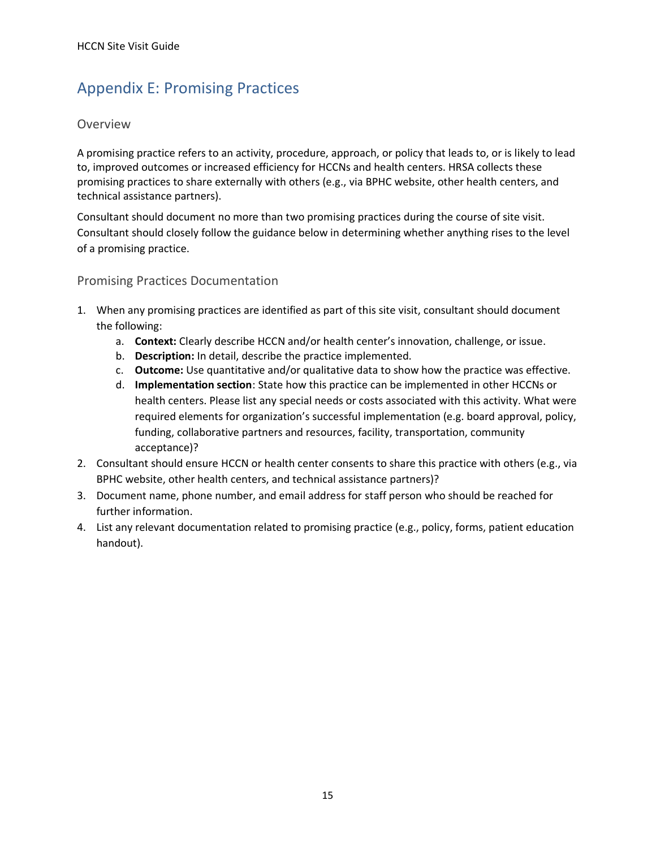# <span id="page-14-1"></span><span id="page-14-0"></span>Appendix E: Promising Practices

#### Overview

A promising practice refers to an activity, procedure, approach, or policy that leads to, or is likely to lead to, improved outcomes or increased efficiency for HCCNs and health centers. HRSA collects these promising practices to share externally with others (e.g., via BPHC website, other health centers, and technical assistance partners).

Consultant should document no more than two promising practices during the course of site visit. Consultant should closely follow the guidance below in determining whether anything rises to the level of a promising practice.

#### Promising Practices Documentation

- 1. When any promising practices are identified as part of this site visit, consultant should document the following:
	- a. **Context:** Clearly describe HCCN and/or health center's innovation, challenge, or issue.
	- b. **Description:** In detail, describe the practice implemented.
	- c. **Outcome:** Use quantitative and/or qualitative data to show how the practice was effective.
	- d. **Implementation section**: State how this practice can be implemented in other HCCNs or health centers. Please list any special needs or costs associated with this activity. What were required elements for organization's successful implementation (e.g. board approval, policy, funding, collaborative partners and resources, facility, transportation, community acceptance)?
- 2. Consultant should ensure HCCN or health center consents to share this practice with others (e.g., via BPHC website, other health centers, and technical assistance partners)?
- 3. Document name, phone number, and email address for staff person who should be reached for further information.
- 4. List any relevant documentation related to promising practice (e.g., policy, forms, patient education handout).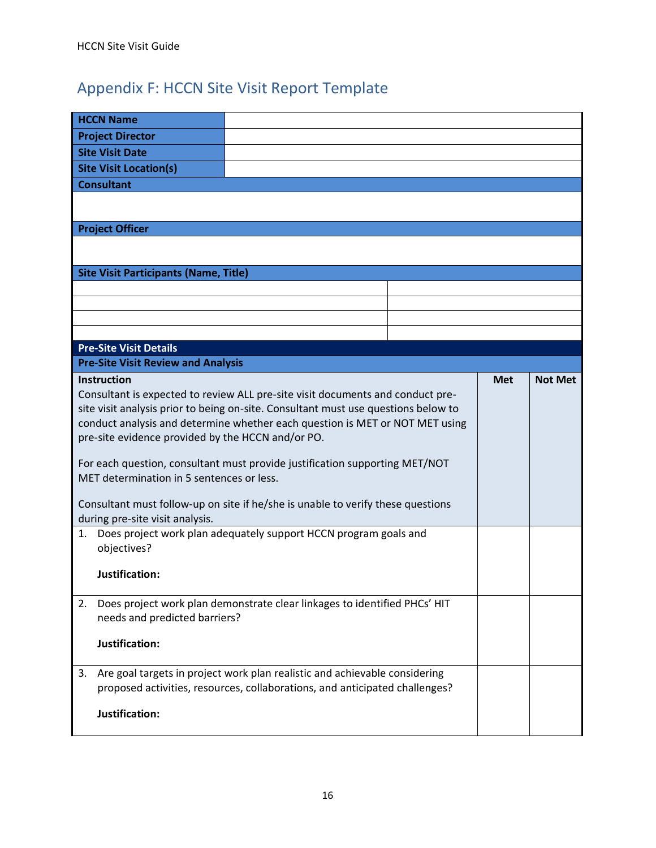# <span id="page-15-0"></span>Appendix F: HCCN Site Visit Report Template

|    | <b>HCCN Name</b>                                                           |                                                                                    |            |                |
|----|----------------------------------------------------------------------------|------------------------------------------------------------------------------------|------------|----------------|
|    | <b>Project Director</b>                                                    |                                                                                    |            |                |
|    | <b>Site Visit Date</b>                                                     |                                                                                    |            |                |
|    | <b>Site Visit Location(s)</b>                                              |                                                                                    |            |                |
|    | <b>Consultant</b>                                                          |                                                                                    |            |                |
|    |                                                                            |                                                                                    |            |                |
|    | <b>Project Officer</b>                                                     |                                                                                    |            |                |
|    |                                                                            |                                                                                    |            |                |
|    | <b>Site Visit Participants (Name, Title)</b>                               |                                                                                    |            |                |
|    |                                                                            |                                                                                    |            |                |
|    |                                                                            |                                                                                    |            |                |
|    |                                                                            |                                                                                    |            |                |
|    |                                                                            |                                                                                    |            |                |
|    | <b>Pre-Site Visit Details</b><br><b>Pre-Site Visit Review and Analysis</b> |                                                                                    |            |                |
|    | <b>Instruction</b>                                                         |                                                                                    | <b>Met</b> | <b>Not Met</b> |
|    |                                                                            | Consultant is expected to review ALL pre-site visit documents and conduct pre-     |            |                |
|    |                                                                            | site visit analysis prior to being on-site. Consultant must use questions below to |            |                |
|    |                                                                            | conduct analysis and determine whether each question is MET or NOT MET using       |            |                |
|    | pre-site evidence provided by the HCCN and/or PO.                          |                                                                                    |            |                |
|    |                                                                            | For each question, consultant must provide justification supporting MET/NOT        |            |                |
|    | MET determination in 5 sentences or less.                                  |                                                                                    |            |                |
|    |                                                                            |                                                                                    |            |                |
|    |                                                                            | Consultant must follow-up on site if he/she is unable to verify these questions    |            |                |
|    | during pre-site visit analysis.                                            |                                                                                    |            |                |
| 1. | objectives?                                                                | Does project work plan adequately support HCCN program goals and                   |            |                |
|    |                                                                            |                                                                                    |            |                |
|    |                                                                            |                                                                                    |            |                |
|    | Justification:                                                             |                                                                                    |            |                |
| 2. |                                                                            | Does project work plan demonstrate clear linkages to identified PHCs' HIT          |            |                |
|    | needs and predicted barriers?                                              |                                                                                    |            |                |
|    |                                                                            |                                                                                    |            |                |
|    | Justification:                                                             |                                                                                    |            |                |
| 3. |                                                                            | Are goal targets in project work plan realistic and achievable considering         |            |                |
|    |                                                                            | proposed activities, resources, collaborations, and anticipated challenges?        |            |                |
|    |                                                                            |                                                                                    |            |                |
|    | Justification:                                                             |                                                                                    |            |                |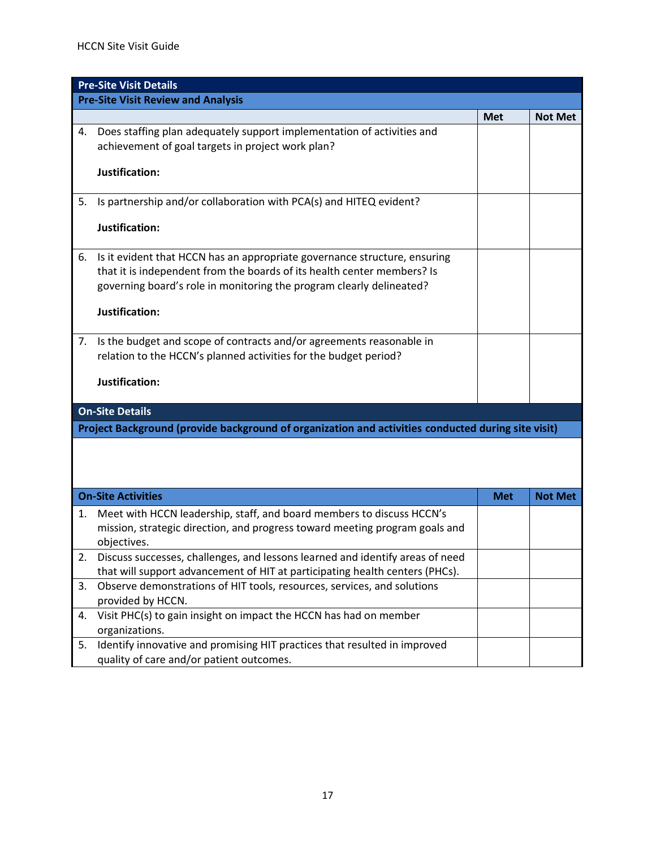|    | <b>Pre-Site Visit Details</b>                                                                      |            |                |
|----|----------------------------------------------------------------------------------------------------|------------|----------------|
|    | <b>Pre-Site Visit Review and Analysis</b>                                                          |            |                |
|    |                                                                                                    | <b>Met</b> | <b>Not Met</b> |
| 4. | Does staffing plan adequately support implementation of activities and                             |            |                |
|    | achievement of goal targets in project work plan?                                                  |            |                |
|    |                                                                                                    |            |                |
|    | Justification:                                                                                     |            |                |
| 5. | Is partnership and/or collaboration with PCA(s) and HITEQ evident?                                 |            |                |
|    |                                                                                                    |            |                |
|    | Justification:                                                                                     |            |                |
|    |                                                                                                    |            |                |
| 6. | Is it evident that HCCN has an appropriate governance structure, ensuring                          |            |                |
|    | that it is independent from the boards of its health center members? Is                            |            |                |
|    | governing board's role in monitoring the program clearly delineated?                               |            |                |
|    | Justification:                                                                                     |            |                |
|    |                                                                                                    |            |                |
| 7. | Is the budget and scope of contracts and/or agreements reasonable in                               |            |                |
|    | relation to the HCCN's planned activities for the budget period?                                   |            |                |
|    |                                                                                                    |            |                |
|    | Justification:                                                                                     |            |                |
|    |                                                                                                    |            |                |
|    | <b>On-Site Details</b>                                                                             |            |                |
|    | Project Background (provide background of organization and activities conducted during site visit) |            |                |
|    |                                                                                                    |            |                |
|    |                                                                                                    |            |                |
|    |                                                                                                    |            |                |
|    | <b>On-Site Activities</b>                                                                          | <b>Met</b> | <b>Not Met</b> |
| 1. | Meet with HCCN leadership, staff, and board members to discuss HCCN's                              |            |                |
|    | mission, strategic direction, and progress toward meeting program goals and                        |            |                |
|    | objectives.                                                                                        |            |                |
|    | Discuss successes, challenges, and lessons learned and identify areas of need                      |            |                |
|    | that will support advancement of HIT at participating health centers (PHCs).                       |            |                |
| 3. | Observe demonstrations of HIT tools, resources, services, and solutions                            |            |                |
|    | provided by HCCN.                                                                                  |            |                |
| 4. | Visit PHC(s) to gain insight on impact the HCCN has had on member                                  |            |                |
|    | organizations.                                                                                     |            |                |
| 5. | Identify innovative and promising HIT practices that resulted in improved                          |            |                |
|    | quality of care and/or patient outcomes.                                                           |            |                |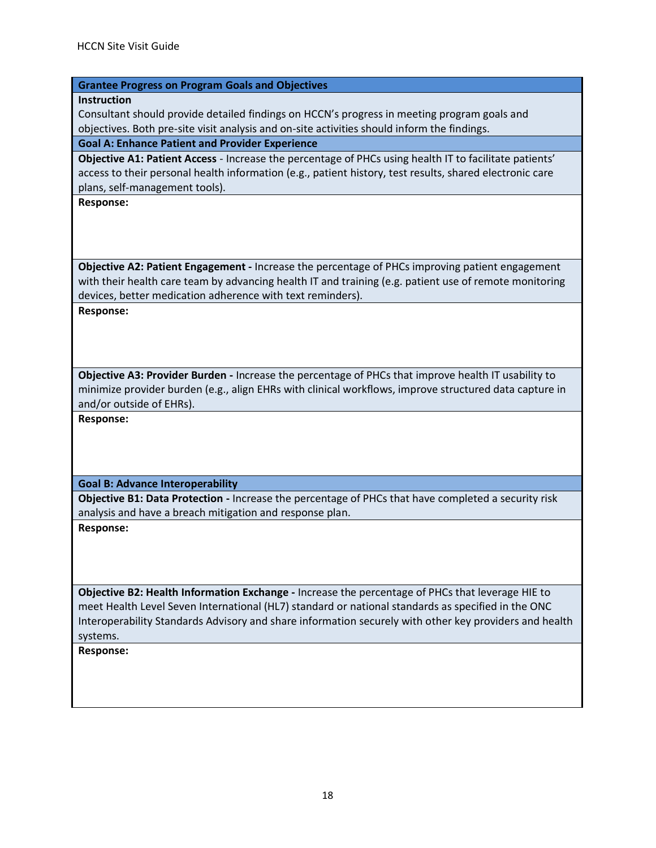#### **Grantee Progress on Program Goals and Objectives**

**Instruction**

Consultant should provide detailed findings on HCCN's progress in meeting program goals and objectives. Both pre-site visit analysis and on-site activities should inform the findings.

#### **Goal A: Enhance Patient and Provider Experience**

**Objective A1: Patient Access** - Increase the percentage of PHCs using health IT to facilitate patients' access to their personal health information (e.g., patient history, test results, shared electronic care plans, self-management tools).

**Response:** 

**Objective A2: Patient Engagement -** Increase the percentage of PHCs improving patient engagement with their health care team by advancing health IT and training (e.g. patient use of remote monitoring devices, better medication adherence with text reminders).

**Response:** 

**Objective A3: Provider Burden -** Increase the percentage of PHCs that improve health IT usability to minimize provider burden (e.g., align EHRs with clinical workflows, improve structured data capture in and/or outside of EHRs).

**Response:** 

**Goal B: Advance Interoperability** 

**Objective B1: Data Protection -** Increase the percentage of PHCs that have completed a security risk analysis and have a breach mitigation and response plan.

**Response:** 

**Objective B2: Health Information Exchange -** Increase the percentage of PHCs that leverage HIE to meet Health Level Seven International (HL7) standard or national standards as specified in the ONC Interoperability Standards Advisory and share information securely with other key providers and health systems.

**Response:**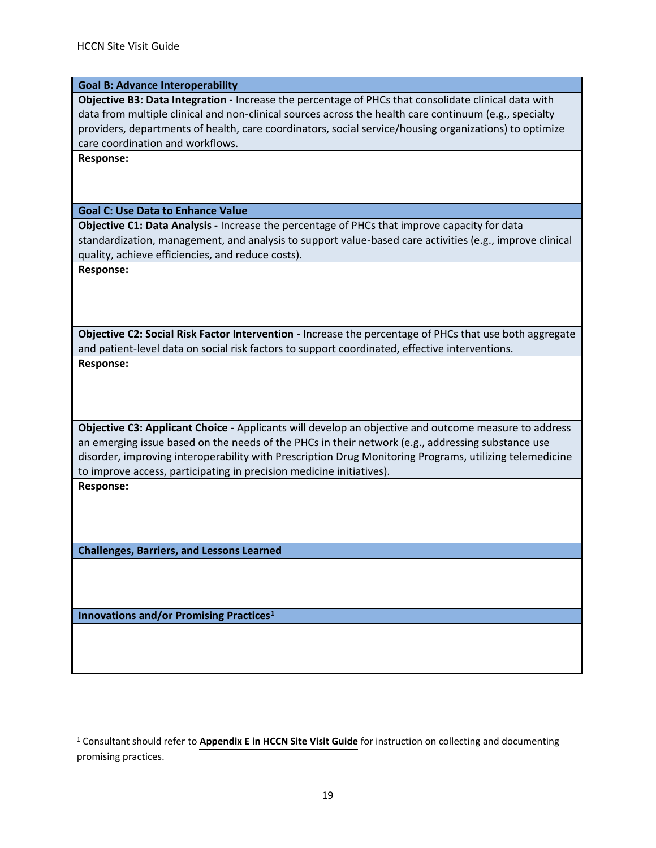#### **Goal B: Advance Interoperability**

**Objective B3: Data Integration -** Increase the percentage of PHCs that consolidate clinical data with data from multiple clinical and non-clinical sources across the health care continuum (e.g., specialty providers, departments of health, care coordinators, social service/housing organizations) to optimize care coordination and workflows.

**Response:**

**Goal C: Use Data to Enhance Value** 

**Objective C1: Data Analysis -** Increase the percentage of PHCs that improve capacity for data standardization, management, and analysis to support value-based care activities (e.g., improve clinical quality, achieve efficiencies, and reduce costs).

**Response:** 

**Objective C2: Social Risk Factor Intervention -** Increase the percentage of PHCs that use both aggregate and patient-level data on social risk factors to support coordinated, effective interventions. **Response:** 

**Objective C3: Applicant Choice -** Applicants will develop an objective and outcome measure to address an emerging issue based on the needs of the PHCs in their network (e.g., addressing substance use disorder, improving interoperability with Prescription Drug Monitoring Programs, utilizing telemedicine to improve access, participating in precision medicine initiatives).

**Response:**

**Challenges, Barriers, and Lessons Learned** 

**Innovations and/or Promising Practices<sup>1</sup>**

<sup>1</sup> Consultant should refer to **[Appendix E in HCCN Site Visit Guide](#page-14-1)** for instruction on collecting and documenting promising practices.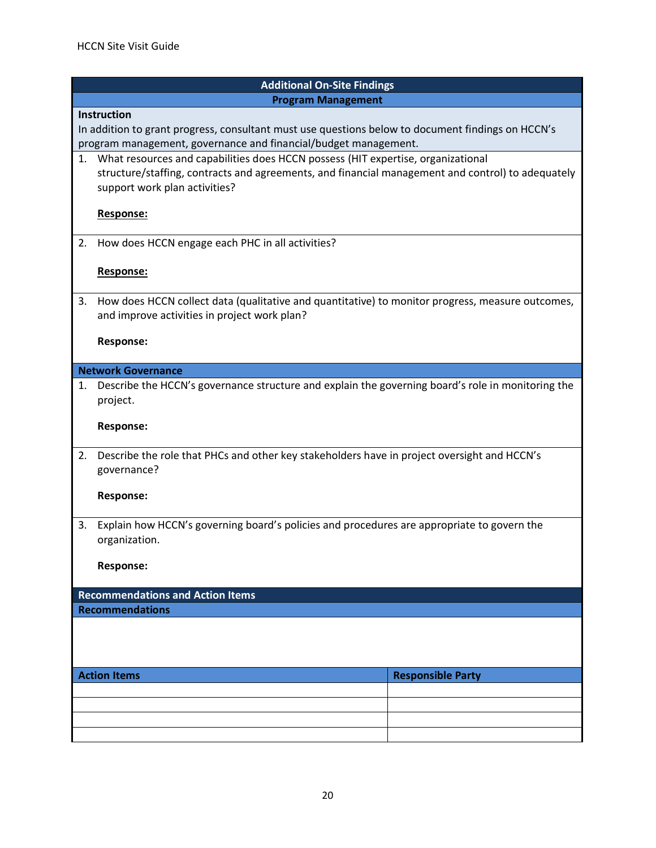|                           | <b>Additional On-Site Findings</b>                                                                |  |  |  |
|---------------------------|---------------------------------------------------------------------------------------------------|--|--|--|
| <b>Program Management</b> |                                                                                                   |  |  |  |
| <b>Instruction</b>        |                                                                                                   |  |  |  |
|                           | In addition to grant progress, consultant must use questions below to document findings on HCCN's |  |  |  |
|                           | program management, governance and financial/budget management.                                   |  |  |  |
|                           | 1. What resources and capabilities does HCCN possess (HIT expertise, organizational               |  |  |  |
|                           | structure/staffing, contracts and agreements, and financial management and control) to adequately |  |  |  |
|                           | support work plan activities?                                                                     |  |  |  |
|                           |                                                                                                   |  |  |  |
|                           | Response:                                                                                         |  |  |  |
|                           |                                                                                                   |  |  |  |
| 2.                        | How does HCCN engage each PHC in all activities?                                                  |  |  |  |
|                           |                                                                                                   |  |  |  |
|                           | Response:                                                                                         |  |  |  |
|                           |                                                                                                   |  |  |  |
| 3.                        | How does HCCN collect data (qualitative and quantitative) to monitor progress, measure outcomes,  |  |  |  |
|                           | and improve activities in project work plan?                                                      |  |  |  |
|                           | <b>Response:</b>                                                                                  |  |  |  |
|                           |                                                                                                   |  |  |  |
|                           | <b>Network Governance</b>                                                                         |  |  |  |
| 1.                        | Describe the HCCN's governance structure and explain the governing board's role in monitoring the |  |  |  |
|                           | project.                                                                                          |  |  |  |
|                           |                                                                                                   |  |  |  |
|                           | <b>Response:</b>                                                                                  |  |  |  |
|                           |                                                                                                   |  |  |  |
| 2.                        | Describe the role that PHCs and other key stakeholders have in project oversight and HCCN's       |  |  |  |
|                           | governance?                                                                                       |  |  |  |
|                           |                                                                                                   |  |  |  |
|                           | <b>Response:</b>                                                                                  |  |  |  |
|                           |                                                                                                   |  |  |  |
| 3.                        | Explain how HCCN's governing board's policies and procedures are appropriate to govern the        |  |  |  |
|                           | organization.                                                                                     |  |  |  |
|                           | <b>Response:</b>                                                                                  |  |  |  |
|                           |                                                                                                   |  |  |  |
|                           | <b>Recommendations and Action Items</b>                                                           |  |  |  |
|                           | <b>Recommendations</b>                                                                            |  |  |  |
|                           |                                                                                                   |  |  |  |
|                           |                                                                                                   |  |  |  |
|                           |                                                                                                   |  |  |  |
|                           | <b>Action Items</b><br><b>Responsible Party</b>                                                   |  |  |  |
|                           |                                                                                                   |  |  |  |
|                           |                                                                                                   |  |  |  |
|                           |                                                                                                   |  |  |  |
|                           |                                                                                                   |  |  |  |
|                           |                                                                                                   |  |  |  |